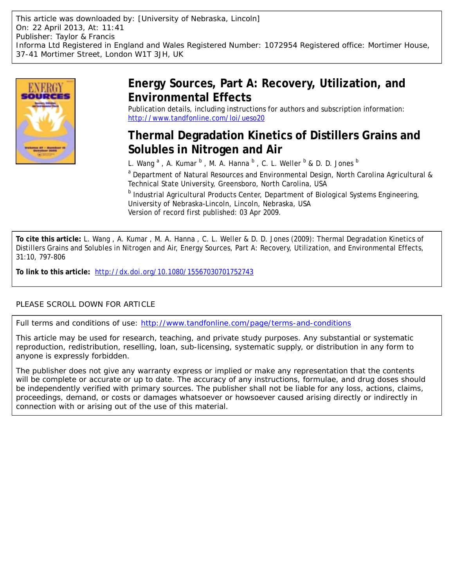

## **Energy Sources, Part A: Recovery, Utilization, and Environmental Effects**

Publication details, including instructions for authors and subscription information: <http://www.tandfonline.com/loi/ueso20>

# **Thermal Degradation Kinetics of Distillers Grains and Solubles in Nitrogen and Air**

L. Wang  $^{\mathrm{a}}$  , A. Kumar  $^{\mathrm{b}}$  , M. A. Hanna  $^{\mathrm{b}}$  , C. L. Weller  $^{\mathrm{b}}$  & D. D. Jones  $^{\mathrm{b}}$ 

<sup>a</sup> Department of Natural Resources and Environmental Design, North Carolina Agricultural & Technical State University, Greensboro, North Carolina, USA

**b** Industrial Agricultural Products Center, Department of Biological Systems Engineering, University of Nebraska-Lincoln, Lincoln, Nebraska, USA Version of record first published: 03 Apr 2009.

**To cite this article:** L. Wang , A. Kumar , M. A. Hanna , C. L. Weller & D. D. Jones (2009): Thermal Degradation Kinetics of Distillers Grains and Solubles in Nitrogen and Air, Energy Sources, Part A: Recovery, Utilization, and Environmental Effects, 31:10, 797-806

**To link to this article:** <http://dx.doi.org/10.1080/15567030701752743>

### PLEASE SCROLL DOWN FOR ARTICLE

Full terms and conditions of use:<http://www.tandfonline.com/page/terms-and-conditions>

This article may be used for research, teaching, and private study purposes. Any substantial or systematic reproduction, redistribution, reselling, loan, sub-licensing, systematic supply, or distribution in any form to anyone is expressly forbidden.

The publisher does not give any warranty express or implied or make any representation that the contents will be complete or accurate or up to date. The accuracy of any instructions, formulae, and drug doses should be independently verified with primary sources. The publisher shall not be liable for any loss, actions, claims, proceedings, demand, or costs or damages whatsoever or howsoever caused arising directly or indirectly in connection with or arising out of the use of this material.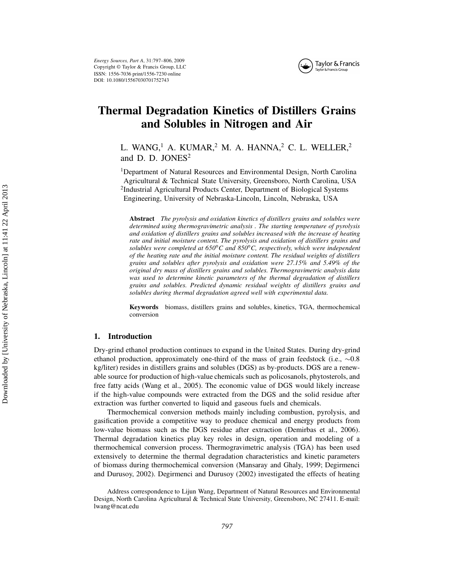

### Thermal Degradation Kinetics of Distillers Grains and Solubles in Nitrogen and Air

L. WANG,<sup>1</sup> A. KUMAR,<sup>2</sup> M. A. HANNA,<sup>2</sup> C. L. WELLER,<sup>2</sup> and D. D. JONES<sup>2</sup>

<sup>1</sup>Department of Natural Resources and Environmental Design, North Carolina Agricultural & Technical State University, Greensboro, North Carolina, USA <sup>2</sup>Industrial Agricultural Products Center, Department of Biological Systems Engineering, University of Nebraska-Lincoln, Lincoln, Nebraska, USA

Abstract The pyrolysis and oxidation kinetics of distillers grains and solubles were determined using thermogravimetric analysis . The starting temperature of pyrolysis and oxidation of distillers grains and solubles increased with the increase of heating rate and initial moisture content. The pyrolysis and oxidation of distillers grains and solubles were completed at  $650^{\circ}$ C and  $850^{\circ}$ C, respectively, which were independent of the heating rate and the initial moisture content. The residual weights of distillers grains and solubles after pyrolysis and oxidation were 27.15% and 5.49% of the original dry mass of distillers grains and solubles. Thermogravimetric analysis data was used to determine kinetic parameters of the thermal degradation of distillers grains and solubles. Predicted dynamic residual weights of distillers grains and solubles during thermal degradation agreed well with experimental data.

Keywords biomass, distillers grains and solubles, kinetics, TGA, thermochemical conversion

#### 1. Introduction

Dry-grind ethanol production continues to expand in the United States. During dry-grind ethanol production, approximately one-third of the mass of grain feedstock (i.e.,  $\sim 0.8$ ) kg/liter) resides in distillers grains and solubles (DGS) as by-products. DGS are a renewable source for production of high-value chemicals such as policosanols, phytosterols, and free fatty acids (Wang et al., 2005). The economic value of DGS would likely increase if the high-value compounds were extracted from the DGS and the solid residue after extraction was further converted to liquid and gaseous fuels and chemicals.

Thermochemical conversion methods mainly including combustion, pyrolysis, and gasification provide a competitive way to produce chemical and energy products from low-value biomass such as the DGS residue after extraction (Demirbas et al., 2006). Thermal degradation kinetics play key roles in design, operation and modeling of a thermochemical conversion process. Thermogravimetric analysis (TGA) has been used extensively to determine the thermal degradation characteristics and kinetic parameters of biomass during thermochemical conversion (Mansaray and Ghaly, 1999; Degirmenci and Durusoy, 2002). Degirmenci and Durusoy (2002) investigated the effects of heating

Address correspondence to Lijun Wang, Department of Natural Resources and Environmental Design, North Carolina Agricultural & Technical State University, Greensboro, NC 27411. E-mail: lwang@ncat.edu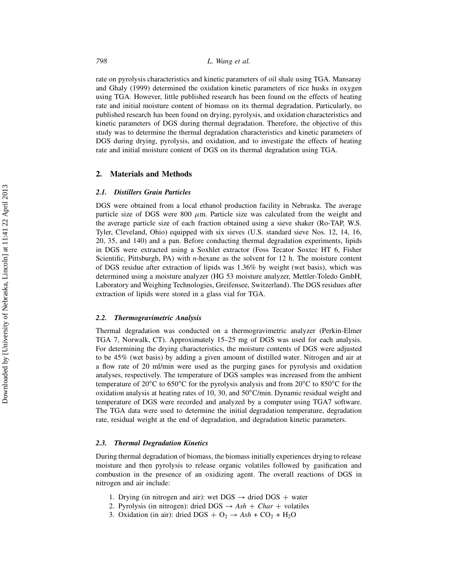rate on pyrolysis characteristics and kinetic parameters of oil shale using TGA. Mansaray and Ghaly (1999) determined the oxidation kinetic parameters of rice husks in oxygen using TGA. However, little published research has been found on the effects of heating rate and initial moisture content of biomass on its thermal degradation. Particularly, no published research has been found on drying, pyrolysis, and oxidation characteristics and kinetic parameters of DGS during thermal degradation. Therefore, the objective of this study was to determine the thermal degradation characteristics and kinetic parameters of DGS during drying, pyrolysis, and oxidation, and to investigate the effects of heating rate and initial moisture content of DGS on its thermal degradation using TGA.

#### 2. Materials and Methods

#### 2.1. Distillers Grain Particles

DGS were obtained from a local ethanol production facility in Nebraska. The average particle size of DGS were 800  $\mu$ m. Particle size was calculated from the weight and the average particle size of each fraction obtained using a sieve shaker (Ro-TAP, W.S. Tyler, Cleveland, Ohio) equipped with six sieves (U.S. standard sieve Nos. 12, 14, 16, 20, 35, and 140) and a pan. Before conducting thermal degradation experiments, lipids in DGS were extracted using a Soxhlet extractor (Foss Tecator Soxtec HT 6, Fisher Scientific, Pittsburgh, PA) with *n*-hexane as the solvent for 12 h. The moisture content of DGS residue after extraction of lipids was 1.36% by weight (wet basis), which was determined using a moisture analyzer (HG 53 moisture analyzer, Mettler-Toledo GmbH, Laboratory and Weighing Technologies, Greifensee, Switzerland). The DGS residues after extraction of lipids were stored in a glass vial for TGA.

#### 2.2. Thermogravimetric Analysis

Thermal degradation was conducted on a thermogravimetric analyzer (Perkin-Elmer TGA 7, Norwalk, CT). Approximately 15–25 mg of DGS was used for each analysis. For determining the drying characteristics, the moisture contents of DGS were adjusted to be 45% (wet basis) by adding a given amount of distilled water. Nitrogen and air at a flow rate of 20 ml/min were used as the purging gases for pyrolysis and oxidation analyses, respectively. The temperature of DGS samples was increased from the ambient temperature of 20 $^{\circ}$ C to 650 $^{\circ}$ C for the pyrolysis analysis and from 20 $^{\circ}$ C to 850 $^{\circ}$ C for the oxidation analysis at heating rates of 10, 30, and  $50^{\circ}$ C/min. Dynamic residual weight and temperature of DGS were recorded and analyzed by a computer using TGA7 software. The TGA data were used to determine the initial degradation temperature, degradation rate, residual weight at the end of degradation, and degradation kinetic parameters.

#### 2.3. Thermal Degradation Kinetics

During thermal degradation of biomass, the biomass initially experiences drying to release moisture and then pyrolysis to release organic volatiles followed by gasification and combustion in the presence of an oxidizing agent. The overall reactions of DGS in nitrogen and air include:

- 1. Drying (in nitrogen and air): wet DGS  $\rightarrow$  dried DGS + water
- 2. Pyrolysis (in nitrogen): dried DGS  $\rightarrow$  Ash + Char + volatiles
- 3. Oxidation (in air): dried DGS +  $O_2 \rightarrow Ash + CO_2 + H_2O$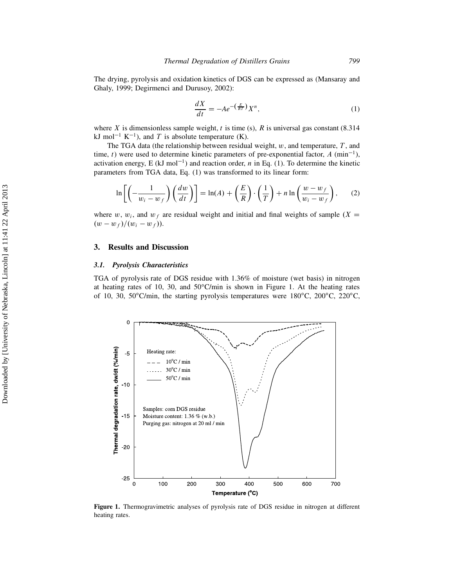The drying, pyrolysis and oxidation kinetics of DGS can be expressed as (Mansaray and Ghaly, 1999; Degirmenci and Durusoy, 2002):

$$
\frac{dX}{dt} = -Ae^{-\left(\frac{E}{RT}\right)}X^n,\tag{1}
$$

where X is dimensionless sample weight, t is time (s), R is universal gas constant  $(8.314)$ kJ mol<sup>-1</sup> K<sup>-1</sup>), and T is absolute temperature (K).

The TGA data (the relationship between residual weight,  $w$ , and temperature,  $T$ , and time, t) were used to determine kinetic parameters of pre-exponential factor,  $A$  (min<sup>-1</sup>), activation energy, E (kJ mol<sup>-1</sup>) and reaction order, n in Eq. (1). To determine the kinetic parameters from TGA data, Eq. (1) was transformed to its linear form:

$$
\ln\left[\left(-\frac{1}{w_i - w_f}\right)\left(\frac{dw}{dt}\right)\right] = \ln(A) + \left(\frac{E}{R}\right)\cdot\left(\frac{1}{T}\right) + n\ln\left(\frac{w - w_f}{w_i - w_f}\right),\qquad(2)
$$

where w,  $w_i$ , and  $w_f$  are residual weight and initial and final weights of sample  $(X =$  $(w - w_f)/(w_i - w_f)).$ 

#### 3. Results and Discussion

#### 3.1. Pyrolysis Characteristics

TGA of pyrolysis rate of DGS residue with 1.36% of moisture (wet basis) in nitrogen at heating rates of 10, 30, and  $50^{\circ}$ C/min is shown in Figure 1. At the heating rates of 10, 30, 50 $\degree$ C/min, the starting pyrolysis temperatures were 180 $\degree$ C, 200 $\degree$ C, 220 $\degree$ C,



Figure 1. Thermogravimetric analyses of pyrolysis rate of DGS residue in nitrogen at different heating rates.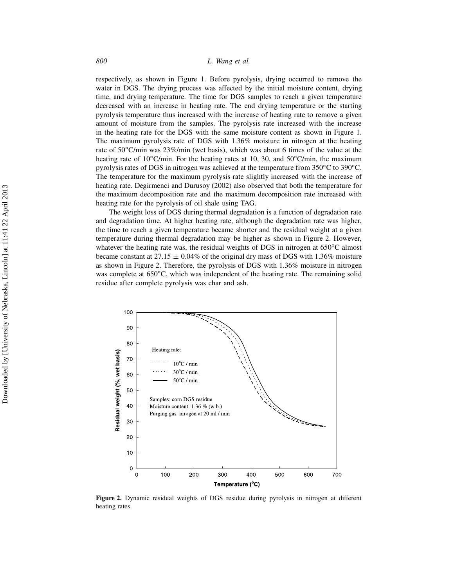respectively, as shown in Figure 1. Before pyrolysis, drying occurred to remove the water in DGS. The drying process was affected by the initial moisture content, drying time, and drying temperature. The time for DGS samples to reach a given temperature decreased with an increase in heating rate. The end drying temperature or the starting pyrolysis temperature thus increased with the increase of heating rate to remove a given amount of moisture from the samples. The pyrolysis rate increased with the increase in the heating rate for the DGS with the same moisture content as shown in Figure 1. The maximum pyrolysis rate of DGS with 1.36% moisture in nitrogen at the heating rate of  $50^{\circ}$ C/min was  $23\%$ /min (wet basis), which was about 6 times of the value at the heating rate of  $10^{\circ}$ C/min. For the heating rates at 10, 30, and  $50^{\circ}$ C/min, the maximum pyrolysis rates of DGS in nitrogen was achieved at the temperature from  $350^{\circ}$ C to  $390^{\circ}$ C. The temperature for the maximum pyrolysis rate slightly increased with the increase of heating rate. Degirmenci and Durusoy (2002) also observed that both the temperature for the maximum decomposition rate and the maximum decomposition rate increased with heating rate for the pyrolysis of oil shale using TAG.

The weight loss of DGS during thermal degradation is a function of degradation rate and degradation time. At higher heating rate, although the degradation rate was higher, the time to reach a given temperature became shorter and the residual weight at a given temperature during thermal degradation may be higher as shown in Figure 2. However, whatever the heating rate was, the residual weights of DGS in nitrogen at  $650^{\circ}$ C almost became constant at 27.15  $\pm$  0.04% of the original dry mass of DGS with 1.36% moisture as shown in Figure 2. Therefore, the pyrolysis of DGS with 1.36% moisture in nitrogen was complete at  $650^{\circ}$ C, which was independent of the heating rate. The remaining solid residue after complete pyrolysis was char and ash.



Figure 2. Dynamic residual weights of DGS residue during pyrolysis in nitrogen at different heating rates.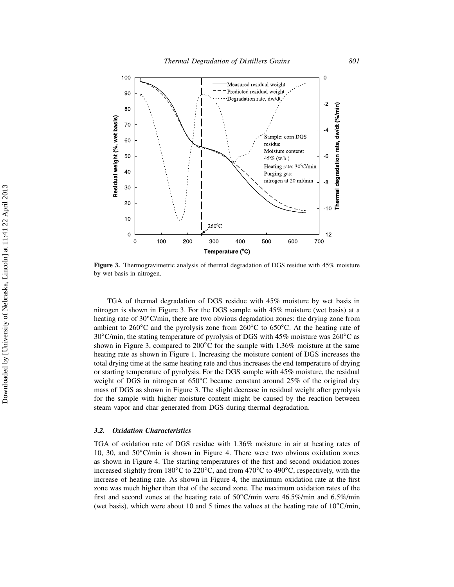

Figure 3. Thermogravimetric analysis of thermal degradation of DGS residue with 45% moisture by wet basis in nitrogen.

TGA of thermal degradation of DGS residue with 45% moisture by wet basis in nitrogen is shown in Figure 3. For the DGS sample with 45% moisture (wet basis) at a heating rate of  $30^{\circ}$ C/min, there are two obvious degradation zones: the drying zone from ambient to 260 $\rm^{\circ}C$  and the pyrolysis zone from 260 $\rm^{\circ}C$  to 650 $\rm^{\circ}C$ . At the heating rate of  $30^{\circ}$ C/min, the stating temperature of pyrolysis of DGS with 45% moisture was 260 $^{\circ}$ C as shown in Figure 3, compared to 200°C for the sample with 1.36% moisture at the same heating rate as shown in Figure 1. Increasing the moisture content of DGS increases the total drying time at the same heating rate and thus increases the end temperature of drying or starting temperature of pyrolysis. For the DGS sample with 45% moisture, the residual weight of DGS in nitrogen at  $650^{\circ}$ C became constant around 25% of the original dry mass of DGS as shown in Figure 3. The slight decrease in residual weight after pyrolysis for the sample with higher moisture content might be caused by the reaction between steam vapor and char generated from DGS during thermal degradation.

#### 3.2. Oxidation Characteristics

TGA of oxidation rate of DGS residue with 1.36% moisture in air at heating rates of 10, 30, and  $50^{\circ}$ C/min is shown in Figure 4. There were two obvious oxidation zones as shown in Figure 4. The starting temperatures of the first and second oxidation zones increased slightly from 180 $^{\circ}$ C to 220 $^{\circ}$ C, and from 470 $^{\circ}$ C to 490 $^{\circ}$ C, respectively, with the increase of heating rate. As shown in Figure 4, the maximum oxidation rate at the first zone was much higher than that of the second zone. The maximum oxidation rates of the first and second zones at the heating rate of  $50^{\circ}$ C/min were 46.5%/min and 6.5%/min (wet basis), which were about 10 and 5 times the values at the heating rate of  $10^{\circ}$ C/min,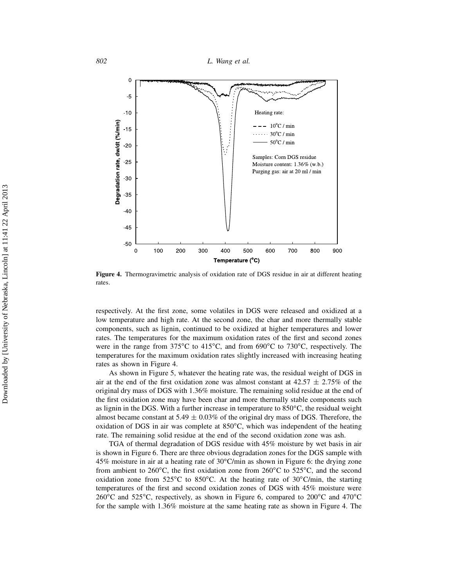802 L. Wang et al.



Figure 4. Thermogravimetric analysis of oxidation rate of DGS residue in air at different heating rates.

respectively. At the first zone, some volatiles in DGS were released and oxidized at a low temperature and high rate. At the second zone, the char and more thermally stable components, such as lignin, continued to be oxidized at higher temperatures and lower rates. The temperatures for the maximum oxidation rates of the first and second zones were in the range from  $375^{\circ}$ C to  $415^{\circ}$ C, and from  $690^{\circ}$ C to  $730^{\circ}$ C, respectively. The temperatures for the maximum oxidation rates slightly increased with increasing heating rates as shown in Figure 4.

As shown in Figure 5, whatever the heating rate was, the residual weight of DGS in air at the end of the first oxidation zone was almost constant at  $42.57 \pm 2.75\%$  of the original dry mass of DGS with 1.36% moisture. The remaining solid residue at the end of the first oxidation zone may have been char and more thermally stable components such as lignin in the DGS. With a further increase in temperature to  $850^{\circ}$ C, the residual weight almost became constant at  $5.49 \pm 0.03\%$  of the original dry mass of DGS. Therefore, the oxidation of DGS in air was complete at  $850^{\circ}$ C, which was independent of the heating rate. The remaining solid residue at the end of the second oxidation zone was ash.

TGA of thermal degradation of DGS residue with 45% moisture by wet basis in air is shown in Figure 6. There are three obvious degradation zones for the DGS sample with 45% moisture in air at a heating rate of  $30^{\circ}$ C/min as shown in Figure 6: the drying zone from ambient to 260 $^{\circ}$ C, the first oxidation zone from 260 $^{\circ}$ C to 525 $^{\circ}$ C, and the second oxidation zone from  $525^{\circ}$ C to  $850^{\circ}$ C. At the heating rate of  $30^{\circ}$ C/min, the starting temperatures of the first and second oxidation zones of DGS with 45% moisture were  $260^{\circ}$ C and  $525^{\circ}$ C, respectively, as shown in Figure 6, compared to  $200^{\circ}$ C and  $470^{\circ}$ C for the sample with 1.36% moisture at the same heating rate as shown in Figure 4. The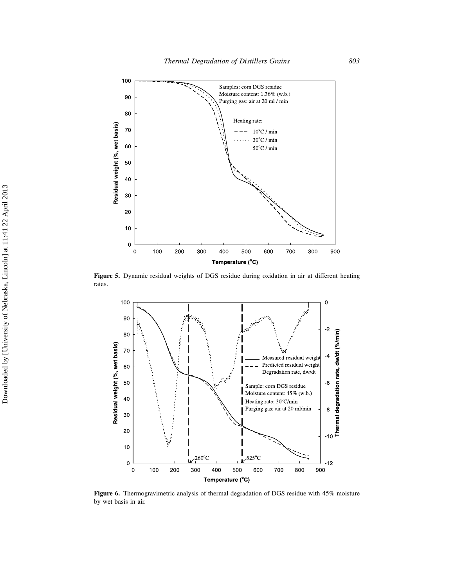

Figure 5. Dynamic residual weights of DGS residue during oxidation in air at different heating rates.



Figure 6. Thermogravimetric analysis of thermal degradation of DGS residue with 45% moisture by wet basis in air.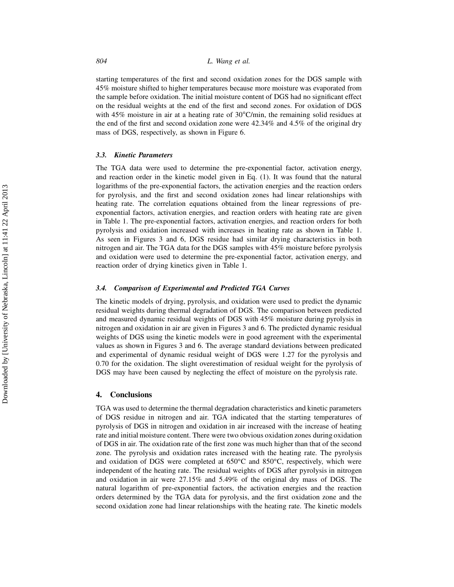starting temperatures of the first and second oxidation zones for the DGS sample with 45% moisture shifted to higher temperatures because more moisture was evaporated from the sample before oxidation. The initial moisture content of DGS had no significant effect on the residual weights at the end of the first and second zones. For oxidation of DGS with 45% moisture in air at a heating rate of  $30^{\circ}$ C/min, the remaining solid residues at the end of the first and second oxidation zone were 42.34% and 4.5% of the original dry mass of DGS, respectively, as shown in Figure 6.

#### 3.3. Kinetic Parameters

The TGA data were used to determine the pre-exponential factor, activation energy, and reaction order in the kinetic model given in Eq. (1). It was found that the natural logarithms of the pre-exponential factors, the activation energies and the reaction orders for pyrolysis, and the first and second oxidation zones had linear relationships with heating rate. The correlation equations obtained from the linear regressions of preexponential factors, activation energies, and reaction orders with heating rate are given in Table 1. The pre-exponential factors, activation energies, and reaction orders for both pyrolysis and oxidation increased with increases in heating rate as shown in Table 1. As seen in Figures 3 and 6, DGS residue had similar drying characteristics in both nitrogen and air. The TGA data for the DGS samples with 45% moisture before pyrolysis and oxidation were used to determine the pre-exponential factor, activation energy, and reaction order of drying kinetics given in Table 1.

#### 3.4. Comparison of Experimental and Predicted TGA Curves

The kinetic models of drying, pyrolysis, and oxidation were used to predict the dynamic residual weights during thermal degradation of DGS. The comparison between predicted and measured dynamic residual weights of DGS with 45% moisture during pyrolysis in nitrogen and oxidation in air are given in Figures 3 and 6. The predicted dynamic residual weights of DGS using the kinetic models were in good agreement with the experimental values as shown in Figures 3 and 6. The average standard deviations between predicated and experimental of dynamic residual weight of DGS were 1.27 for the pyrolysis and 0.70 for the oxidation. The slight overestimation of residual weight for the pyrolysis of DGS may have been caused by neglecting the effect of moisture on the pyrolysis rate.

#### 4. Conclusions

TGA was used to determine the thermal degradation characteristics and kinetic parameters of DGS residue in nitrogen and air. TGA indicated that the starting temperatures of pyrolysis of DGS in nitrogen and oxidation in air increased with the increase of heating rate and initial moisture content. There were two obvious oxidation zones during oxidation of DGS in air. The oxidation rate of the first zone was much higher than that of the second zone. The pyrolysis and oxidation rates increased with the heating rate. The pyrolysis and oxidation of DGS were completed at  $650^{\circ}$ C and  $850^{\circ}$ C, respectively, which were independent of the heating rate. The residual weights of DGS after pyrolysis in nitrogen and oxidation in air were 27.15% and 5.49% of the original dry mass of DGS. The natural logarithm of pre-exponential factors, the activation energies and the reaction orders determined by the TGA data for pyrolysis, and the first oxidation zone and the second oxidation zone had linear relationships with the heating rate. The kinetic models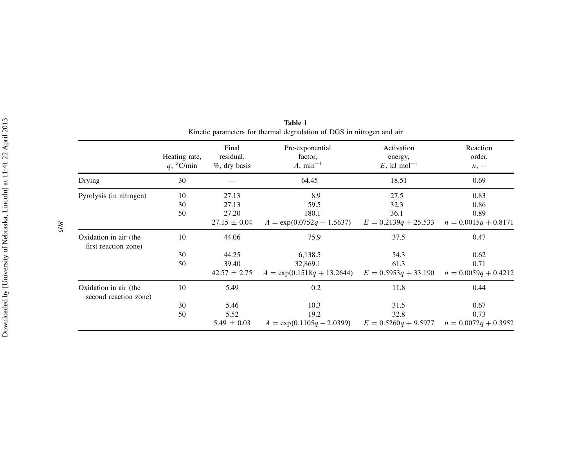|                                                | Heating rate,<br>q, °C/min | Final<br>residual,<br>$%$ , dry basis | Pre-exponential<br>factor,<br>$A, \text{min}^{-1}$ | Activation<br>energy,<br>E, kJ mol <sup>-1</sup> | Reaction<br>order,<br>$n, -$ |
|------------------------------------------------|----------------------------|---------------------------------------|----------------------------------------------------|--------------------------------------------------|------------------------------|
| Drying                                         | 30                         |                                       | 64.45                                              | 18.51                                            | 0.69                         |
| Pyrolysis (in nitrogen)                        | 10                         | 27.13                                 | 8.9                                                | 27.5                                             | 0.83                         |
|                                                | 30<br>50                   | 27.13<br>27.20                        | 59.5<br>180.1                                      | 32.3<br>36.1                                     | 0.86<br>0.89                 |
|                                                |                            | $27.15 \pm 0.04$                      | $A = \exp(0.0752q + 1.5637)$                       | $E = 0.2139q + 25.533$                           | $n = 0.0015q + 0.8171$       |
| Oxidation in air (the<br>first reaction zone)  | 10                         | 44.06                                 | 75.9                                               | 37.5                                             | 0.47                         |
|                                                | 30                         | 44.25                                 | 6,138.5                                            | 54.3                                             | 0.62                         |
|                                                | 50                         | 39.40                                 | 32,869.1                                           | 61.3                                             | 0.71                         |
|                                                |                            | $42.57 \pm 2.75$                      | $A = \exp(0.1518q + 13.2644)$                      | $E = 0.5953q + 33.190$                           | $n = 0.0059q + 0.4212$       |
| Oxidation in air (the<br>second reaction zone) | 10                         | 5.49                                  | 0.2                                                | 11.8                                             | 0.44                         |
|                                                | 30                         | 5.46                                  | 10.3                                               | 31.5                                             | 0.67                         |
|                                                | 50                         | 5.52                                  | 19.2                                               | 32.8                                             | 0.73                         |
|                                                |                            | $5.49 \pm 0.03$                       | $A = \exp(0.1105q - 2.0399)$                       | $E = 0.5260q + 9.5977$                           | $n = 0.0072q + 0.3952$       |

Table 1Kinetic parameters for thermal degradation of DGS in nitrogen and air

805